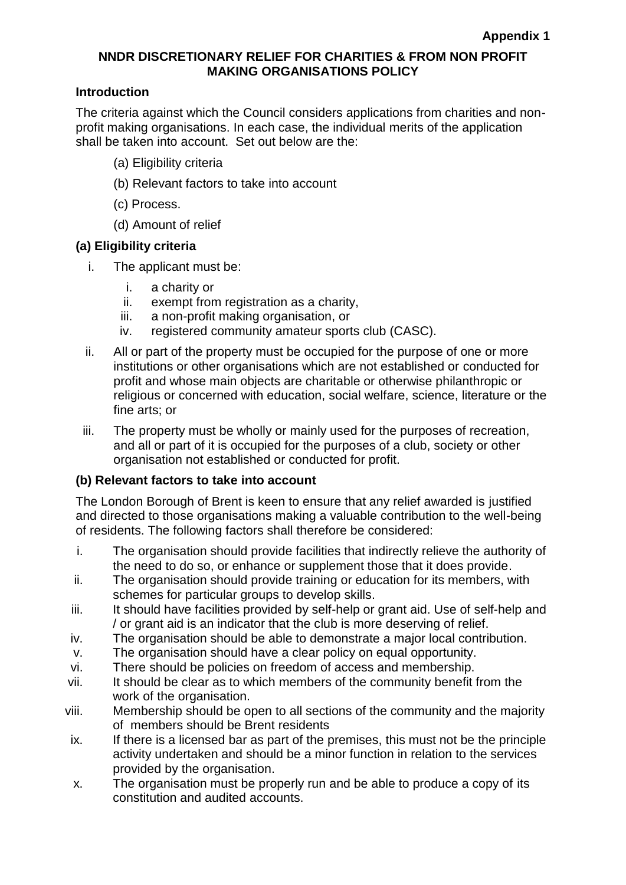### **NNDR DISCRETIONARY RELIEF FOR CHARITIES & FROM NON PROFIT MAKING ORGANISATIONS POLICY**

#### **Introduction**

The criteria against which the Council considers applications from charities and nonprofit making organisations. In each case, the individual merits of the application shall be taken into account. Set out below are the:

- (a) Eligibility criteria
- (b) Relevant factors to take into account
- (c) Process.
- (d) Amount of relief

#### **(a) Eligibility criteria**

- i. The applicant must be:
	- i. a charity or
	- ii. exempt from registration as a charity,
	- iii. a non-profit making organisation, or
	- iv. registered community amateur sports club (CASC).
- ii. All or part of the property must be occupied for the purpose of one or more institutions or other organisations which are not established or conducted for profit and whose main objects are charitable or otherwise philanthropic or religious or concerned with education, social welfare, science, literature or the fine arts; or
- iii. The property must be wholly or mainly used for the purposes of recreation, and all or part of it is occupied for the purposes of a club, society or other organisation not established or conducted for profit.

#### **(b) Relevant factors to take into account**

The London Borough of Brent is keen to ensure that any relief awarded is justified and directed to those organisations making a valuable contribution to the well-being of residents. The following factors shall therefore be considered:

- i. The organisation should provide facilities that indirectly relieve the authority of the need to do so, or enhance or supplement those that it does provide.
- ii. The organisation should provide training or education for its members, with schemes for particular groups to develop skills.
- iii. It should have facilities provided by self-help or grant aid. Use of self-help and / or grant aid is an indicator that the club is more deserving of relief.
- iv. The organisation should be able to demonstrate a major local contribution.
- v. The organisation should have a clear policy on equal opportunity.
- vi. There should be policies on freedom of access and membership.
- vii. It should be clear as to which members of the community benefit from the work of the organisation.
- viii. Membership should be open to all sections of the community and the majority of members should be Brent residents
- ix. If there is a licensed bar as part of the premises, this must not be the principle activity undertaken and should be a minor function in relation to the services provided by the organisation.
- x. The organisation must be properly run and be able to produce a copy of its constitution and audited accounts.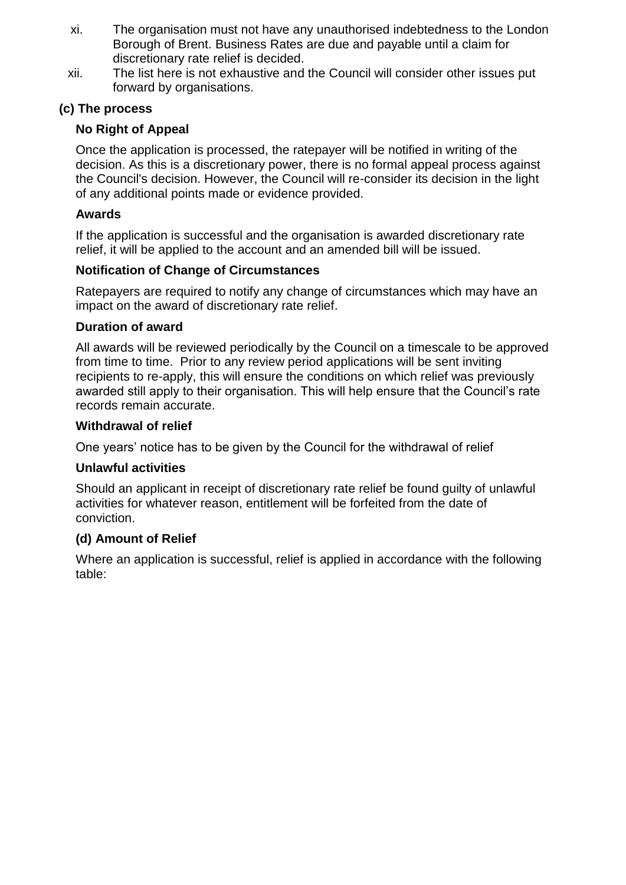- xi. The organisation must not have any unauthorised indebtedness to the London Borough of Brent. Business Rates are due and payable until a claim for discretionary rate relief is decided.
- xii. The list here is not exhaustive and the Council will consider other issues put forward by organisations.

# **(c) The process**

# **No Right of Appeal**

Once the application is processed, the ratepayer will be notified in writing of the decision. As this is a discretionary power, there is no formal appeal process against the Council's decision. However, the Council will re-consider its decision in the light of any additional points made or evidence provided.

# **Awards**

If the application is successful and the organisation is awarded discretionary rate relief, it will be applied to the account and an amended bill will be issued.

# **Notification of Change of Circumstances**

Ratepayers are required to notify any change of circumstances which may have an impact on the award of discretionary rate relief.

### **Duration of award**

All awards will be reviewed periodically by the Council on a timescale to be approved from time to time. Prior to any review period applications will be sent inviting recipients to re-apply, this will ensure the conditions on which relief was previously awarded still apply to their organisation. This will help ensure that the Council's rate records remain accurate.

### **Withdrawal of relief**

One years' notice has to be given by the Council for the withdrawal of relief

# **Unlawful activities**

Should an applicant in receipt of discretionary rate relief be found guilty of unlawful activities for whatever reason, entitlement will be forfeited from the date of conviction.

# **(d) Amount of Relief**

Where an application is successful, relief is applied in accordance with the following table: